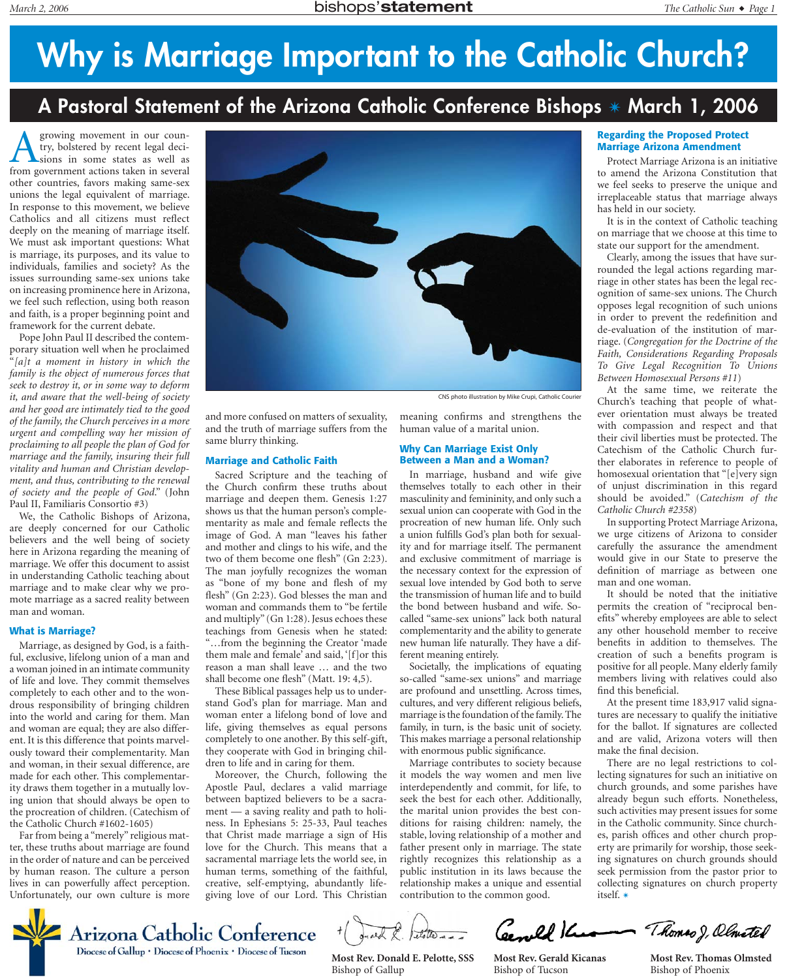# **Why is Marriage Important to the Catholic Church?**

## **A Pastoral Statement of the Arizona Catholic Conference Bishops** *✴* **March 1, 2006**

**A** growing movement in our coun-<br>try, bolstered by recent legal deci-<br>sions in some states as well as<br>from government actions taken in several try, bolstered by recent legal decisions in some states as well as from government actions taken in several other countries, favors making same-sex unions the legal equivalent of marriage. In response to this movement, we believe Catholics and all citizens must reflect deeply on the meaning of marriage itself. We must ask important questions: What is marriage, its purposes, and its value to individuals, families and society? As the issues surrounding same-sex unions take on increasing prominence here in Arizona, we feel such reflection, using both reason and faith, is a proper beginning point and framework for the current debate.

Pope John Paul II described the contemporary situation well when he proclaimed "*[a]t a moment in history in which the family is the object of numerous forces that seek to destroy it, or in some way to deform it, and aware that the well-being of society and her good are intimately tied to the good of the family, the Church perceives in a more urgent and compelling way her mission of proclaiming to all people the plan of God for marriage and the family, insuring their full vitality and human and Christian development, and thus, contributing to the renewal of society and the people of God*." (John Paul II, Familiaris Consortio #3)

We, the Catholic Bishops of Arizona, are deeply concerned for our Catholic believers and the well being of society here in Arizona regarding the meaning of marriage. We offer this document to assist in understanding Catholic teaching about marriage and to make clear why we promote marriage as a sacred reality between man and woman.

### **What is Marriage?**

Marriage, as designed by God, is a faithful, exclusive, lifelong union of a man and a woman joined in an intimate community of life and love. They commit themselves completely to each other and to the wondrous responsibility of bringing children into the world and caring for them. Man and woman are equal; they are also different. It is this difference that points marvelously toward their complementarity. Man and woman, in their sexual difference, are made for each other. This complementarity draws them together in a mutually loving union that should always be open to the procreation of children. (Catechism of the Catholic Church #1602-1605)

Far from being a "merely" religious matter, these truths about marriage are found in the order of nature and can be perceived by human reason. The culture a person lives in can powerfully affect perception. Unfortunately, our own culture is more



CNS photo illustration by Mike Crupi, Catholic Courier

and more confused on matters of sexuality, and the truth of marriage suffers from the same blurry thinking.

#### **Marriage and Catholic Faith**

Sacred Scripture and the teaching of the Church confirm these truths about marriage and deepen them. Genesis 1:27 shows us that the human person's complementarity as male and female reflects the image of God. A man "leaves his father and mother and clings to his wife, and the two of them become one flesh" (Gn 2:23). The man joyfully recognizes the woman as "bone of my bone and flesh of my flesh" (Gn 2:23). God blesses the man and woman and commands them to "be fertile and multiply" (Gn 1:28). Jesus echoes these teachings from Genesis when he stated: "…from the beginning the Creator 'made them male and female' and said, '[f]or this reason a man shall leave … and the two shall become one flesh" (Matt. 19: 4,5).

These Biblical passages help us to understand God's plan for marriage. Man and woman enter a lifelong bond of love and life, giving themselves as equal persons completely to one another. By this self-gift, they cooperate with God in bringing children to life and in caring for them.

Moreover, the Church, following the Apostle Paul, declares a valid marriage between baptized believers to be a sacrament — a saving reality and path to holiness. In Ephesians 5: 25-33, Paul teaches that Christ made marriage a sign of His love for the Church. This means that a sacramental marriage lets the world see, in human terms, something of the faithful, creative, self-emptying, abundantly lifegiving love of our Lord. This Christian meaning confirms and strengthens the human value of a marital union.

### **Why Can Marriage Exist Only Between a Man and a Woman?**

In marriage, husband and wife give themselves totally to each other in their masculinity and femininity, and only such a sexual union can cooperate with God in the procreation of new human life. Only such a union fulfills God's plan both for sexuality and for marriage itself. The permanent and exclusive commitment of marriage is the necessary context for the expression of sexual love intended by God both to serve the transmission of human life and to build the bond between husband and wife. Socalled "same-sex unions" lack both natural complementarity and the ability to generate new human life naturally. They have a different meaning entirely.

Societally, the implications of equating so-called "same-sex unions" and marriage are profound and unsettling. Across times, cultures, and very different religious beliefs, marriage is the foundation of the family. The family, in turn, is the basic unit of society. This makes marriage a personal relationship with enormous public significance.

Marriage contributes to society because it models the way women and men live interdependently and commit, for life, to seek the best for each other. Additionally, the marital union provides the best conditions for raising children: namely, the stable, loving relationship of a mother and father present only in marriage. The state rightly recognizes this relationship as a public institution in its laws because the relationship makes a unique and essential contribution to the common good.

### **Regarding the Proposed Protect Marriage Arizona Amendment**

Protect Marriage Arizona is an initiative to amend the Arizona Constitution that we feel seeks to preserve the unique and irreplaceable status that marriage always has held in our society.

It is in the context of Catholic teaching on marriage that we choose at this time to state our support for the amendment.

Clearly, among the issues that have surrounded the legal actions regarding marriage in other states has been the legal recognition of same-sex unions. The Church opposes legal recognition of such unions in order to prevent the redefinition and de-evaluation of the institution of marriage. (*Congregation for the Doctrine of the Faith, Considerations Regarding Proposals To Give Legal Recognition To Unions Between Homosexual Persons #11*)

At the same time, we reiterate the Church's teaching that people of whatever orientation must always be treated with compassion and respect and that their civil liberties must be protected. The Catechism of the Catholic Church further elaborates in reference to people of homosexual orientation that "[e]very sign of unjust discrimination in this regard should be avoided." (*Catechism of the Catholic Church #2358*)

In supporting Protect Marriage Arizona, we urge citizens of Arizona to consider carefully the assurance the amendment would give in our State to preserve the definition of marriage as between one man and one woman.

It should be noted that the initiative permits the creation of "reciprocal benefits" whereby employees are able to select any other household member to receive benefits in addition to themselves. The creation of such a benefits program is positive for all people. Many elderly family members living with relatives could also find this beneficial.

At the present time 183,917 valid signatures are necessary to qualify the initiative for the ballot. If signatures are collected and are valid, Arizona voters will then make the final decision.

There are no legal restrictions to collecting signatures for such an initiative on church grounds, and some parishes have already begun such efforts. Nonetheless, such activities may present issues for some in the Catholic community. Since churches, parish offices and other church property are primarily for worship, those seeking signatures on church grounds should seek permission from the pastor prior to collecting signatures on church property itself. *✴*



**Most Rev. Donald E. Pelotte, SSS** Bishop of Gallup

Ceenell Ke Thomas J, Olmeted **Most Rev. Gerald Kicanas** Bishop of Tucson

**Most Rev. Thomas Olmsted** Bishop of Phoenix